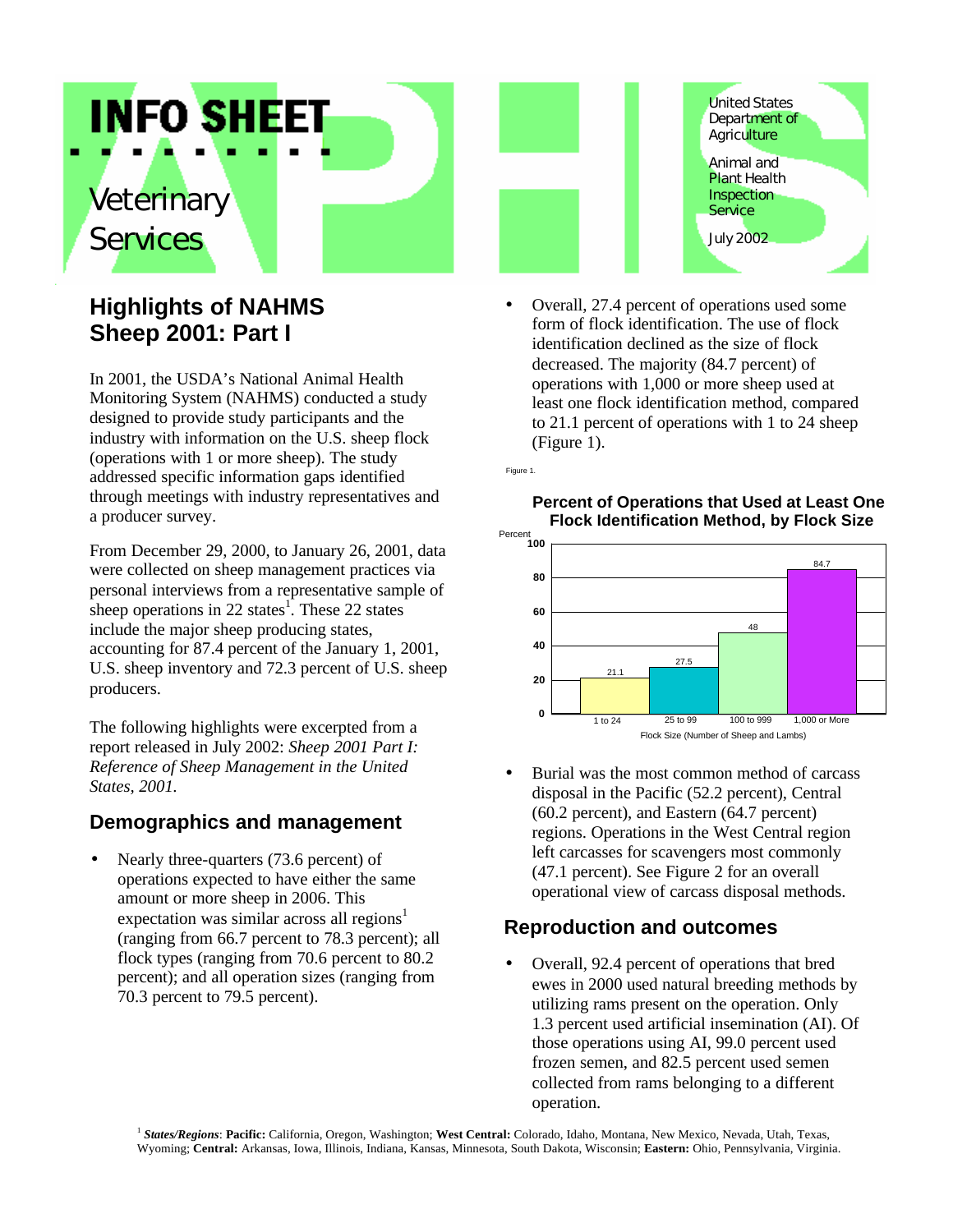# *Veterinary Services*

# **Highlights of NAHMS Sheep 2001: Part I**

**INFO SHEET** 

In 2001, the USDA's National Animal Health Monitoring System (NAHMS) conducted a study designed to provide study participants and the industry with information on the U.S. sheep flock (operations with 1 or more sheep). The study addressed specific information gaps identified through meetings with industry representatives and a producer survey.

From December 29, 2000, to January 26, 2001, data were collected on sheep management practices via personal interviews from a representative sample of sheep operations in 22 states<sup>1</sup>. These 22 states include the major sheep producing states, accounting for 87.4 percent of the January 1, 2001, U.S. sheep inventory and 72.3 percent of U.S. sheep producers.

The following highlights were excerpted from a report released in July 2002: *Sheep 2001 Part I: Reference of Sheep Management in the United States, 2001.*

# **Demographics and management**

Nearly three-quarters (73.6 percent) of operations expected to have either the same amount or more sheep in 2006. This expectation was similar across all regions<sup>1</sup> (ranging from 66.7 percent to 78.3 percent); all flock types (ranging from 70.6 percent to 80.2 percent); and all operation sizes (ranging from 70.3 percent to 79.5 percent).



• Overall, 27.4 percent of operations used some form of flock identification. The use of flock identification declined as the size of flock decreased. The majority (84.7 percent) of operations with 1,000 or more sheep used at least one flock identification method, compared to 21.1 percent of operations with 1 to 24 sheep (Figure 1).

Figure 1.

#### **Percent of Operations that Used at Least One Flock Identification Method, by Flock Size**



• Burial was the most common method of carcass disposal in the Pacific (52.2 percent), Central (60.2 percent), and Eastern (64.7 percent) regions. Operations in the West Central region left carcasses for scavengers most commonly (47.1 percent). See Figure 2 for an overall operational view of carcass disposal methods.

# **Reproduction and outcomes**

• Overall, 92.4 percent of operations that bred ewes in 2000 used natural breeding methods by utilizing rams present on the operation. Only 1.3 percent used artificial insemination (AI). Of those operations using AI, 99.0 percent used frozen semen, and 82.5 percent used semen collected from rams belonging to a different operation.